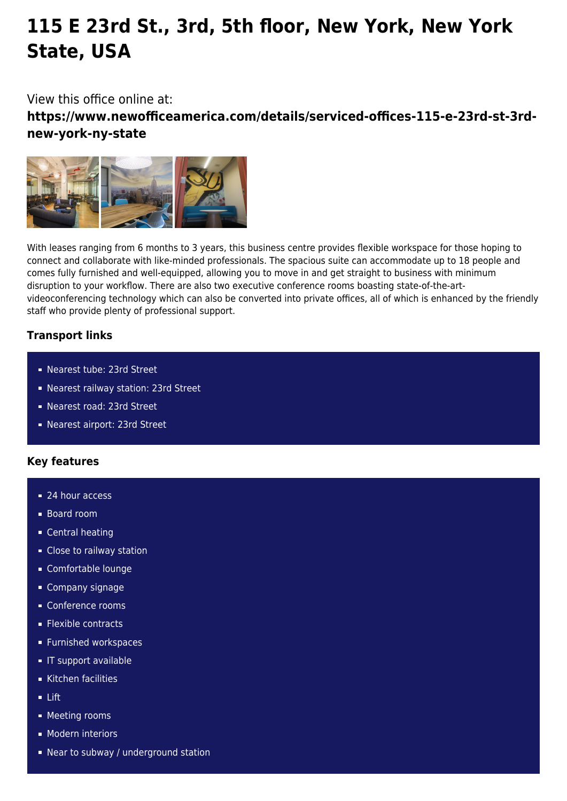# **115 E 23rd St., 3rd, 5th floor, New York, New York State, USA**

## View this office online at:

**https://www.newofficeamerica.com/details/serviced-offices-115-e-23rd-st-3rdnew-york-ny-state**



With leases ranging from 6 months to 3 years, this business centre provides flexible workspace for those hoping to connect and collaborate with like-minded professionals. The spacious suite can accommodate up to 18 people and comes fully furnished and well-equipped, allowing you to move in and get straight to business with minimum disruption to your workflow. There are also two executive conference rooms boasting state-of-the-artvideoconferencing technology which can also be converted into private offices, all of which is enhanced by the friendly staff who provide plenty of professional support.

### **Transport links**

- Nearest tube: 23rd Street
- Nearest railway station: 23rd Street
- Nearest road: 23rd Street
- Nearest airport: 23rd Street

### **Key features**

- 24 hour access
- Board room
- **Central heating**
- **Close to railway station**
- Comfortable lounge
- Company signage
- **Conference rooms**
- **Flexible contracts**
- **Furnished workspaces**
- **IT** support available
- Kitchen facilities
- Lift
- **Meeting rooms**
- **Modern interiors**
- Near to subway / underground station